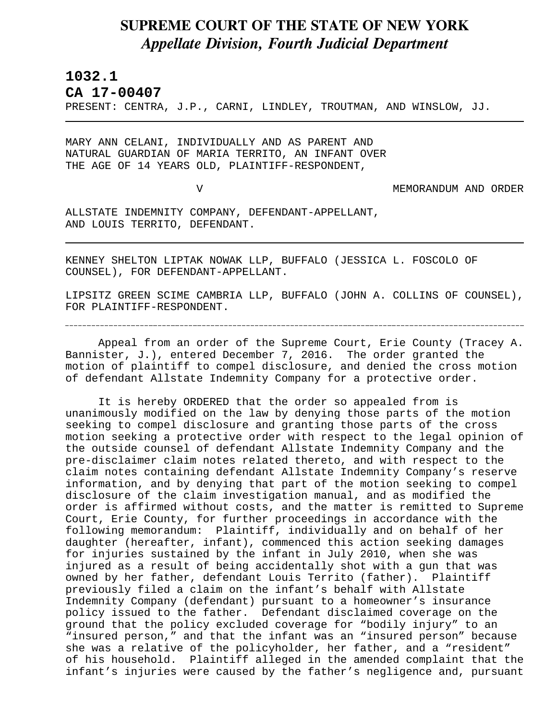## **SUPREME COURT OF THE STATE OF NEW YORK** *Appellate Division, Fourth Judicial Department*

**1032.1** 

L

**CA 17-00407** 

PRESENT: CENTRA, J.P., CARNI, LINDLEY, TROUTMAN, AND WINSLOW, JJ.

MARY ANN CELANI, INDIVIDUALLY AND AS PARENT AND NATURAL GUARDIAN OF MARIA TERRITO, AN INFANT OVER THE AGE OF 14 YEARS OLD, PLAINTIFF-RESPONDENT,

V MEMORANDUM AND ORDER

ALLSTATE INDEMNITY COMPANY, DEFENDANT-APPELLANT, AND LOUIS TERRITO, DEFENDANT.

KENNEY SHELTON LIPTAK NOWAK LLP, BUFFALO (JESSICA L. FOSCOLO OF COUNSEL), FOR DEFENDANT-APPELLANT.

LIPSITZ GREEN SCIME CAMBRIA LLP, BUFFALO (JOHN A. COLLINS OF COUNSEL), FOR PLAINTIFF-RESPONDENT.

Appeal from an order of the Supreme Court, Erie County (Tracey A. Bannister, J.), entered December 7, 2016. The order granted the motion of plaintiff to compel disclosure, and denied the cross motion of defendant Allstate Indemnity Company for a protective order.

It is hereby ORDERED that the order so appealed from is unanimously modified on the law by denying those parts of the motion seeking to compel disclosure and granting those parts of the cross motion seeking a protective order with respect to the legal opinion of the outside counsel of defendant Allstate Indemnity Company and the pre-disclaimer claim notes related thereto, and with respect to the claim notes containing defendant Allstate Indemnity Company's reserve information, and by denying that part of the motion seeking to compel disclosure of the claim investigation manual, and as modified the order is affirmed without costs, and the matter is remitted to Supreme Court, Erie County, for further proceedings in accordance with the following memorandum: Plaintiff, individually and on behalf of her daughter (hereafter, infant), commenced this action seeking damages for injuries sustained by the infant in July 2010, when she was injured as a result of being accidentally shot with a gun that was owned by her father, defendant Louis Territo (father). Plaintiff previously filed a claim on the infant's behalf with Allstate Indemnity Company (defendant) pursuant to a homeowner's insurance policy issued to the father. Defendant disclaimed coverage on the ground that the policy excluded coverage for "bodily injury" to an "insured person," and that the infant was an "insured person" because she was a relative of the policyholder, her father, and a "resident" of his household. Plaintiff alleged in the amended complaint that the infant's injuries were caused by the father's negligence and, pursuant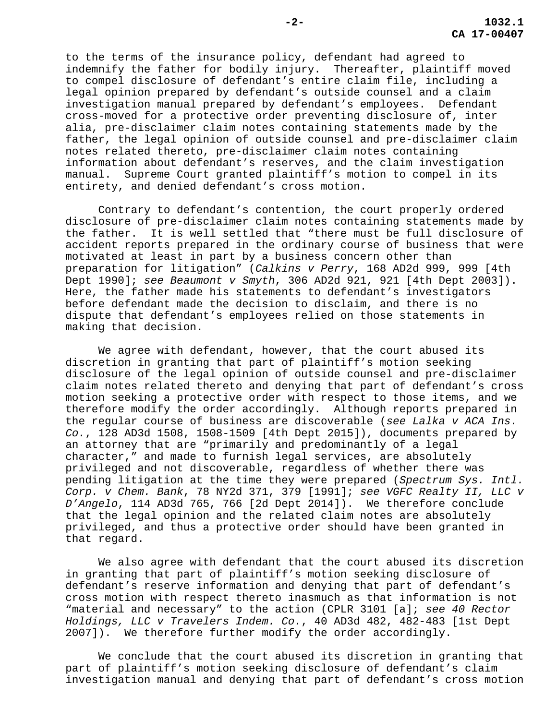to the terms of the insurance policy, defendant had agreed to indemnify the father for bodily injury. Thereafter, plaintiff moved to compel disclosure of defendant's entire claim file, including a legal opinion prepared by defendant's outside counsel and a claim investigation manual prepared by defendant's employees. Defendant cross-moved for a protective order preventing disclosure of, inter alia, pre-disclaimer claim notes containing statements made by the father, the legal opinion of outside counsel and pre-disclaimer claim notes related thereto, pre-disclaimer claim notes containing information about defendant's reserves, and the claim investigation manual. Supreme Court granted plaintiff's motion to compel in its entirety, and denied defendant's cross motion.

Contrary to defendant's contention, the court properly ordered disclosure of pre-disclaimer claim notes containing statements made by the father. It is well settled that "there must be full disclosure of accident reports prepared in the ordinary course of business that were motivated at least in part by a business concern other than preparation for litigation" (*Calkins v Perry*, 168 AD2d 999, 999 [4th Dept 1990]; *see Beaumont v Smyth*, 306 AD2d 921, 921 [4th Dept 2003]). Here, the father made his statements to defendant's investigators before defendant made the decision to disclaim, and there is no dispute that defendant's employees relied on those statements in making that decision.

We agree with defendant, however, that the court abused its discretion in granting that part of plaintiff's motion seeking disclosure of the legal opinion of outside counsel and pre-disclaimer claim notes related thereto and denying that part of defendant's cross motion seeking a protective order with respect to those items, and we therefore modify the order accordingly. Although reports prepared in the regular course of business are discoverable (*see Lalka v ACA Ins. Co.*, 128 AD3d 1508, 1508-1509 [4th Dept 2015]), documents prepared by an attorney that are "primarily and predominantly of a legal character," and made to furnish legal services, are absolutely privileged and not discoverable, regardless of whether there was pending litigation at the time they were prepared (*Spectrum Sys. Intl. Corp. v Chem. Bank*, 78 NY2d 371, 379 [1991]; *see VGFC Realty II, LLC v D'Angelo*, 114 AD3d 765, 766 [2d Dept 2014]). We therefore conclude that the legal opinion and the related claim notes are absolutely privileged, and thus a protective order should have been granted in that regard.

We also agree with defendant that the court abused its discretion in granting that part of plaintiff's motion seeking disclosure of defendant's reserve information and denying that part of defendant's cross motion with respect thereto inasmuch as that information is not "material and necessary" to the action (CPLR 3101 [a]; *see 40 Rector Holdings, LLC v Travelers Indem. Co.*, 40 AD3d 482, 482-483 [1st Dept 2007]). We therefore further modify the order accordingly.

We conclude that the court abused its discretion in granting that part of plaintiff's motion seeking disclosure of defendant's claim investigation manual and denying that part of defendant's cross motion